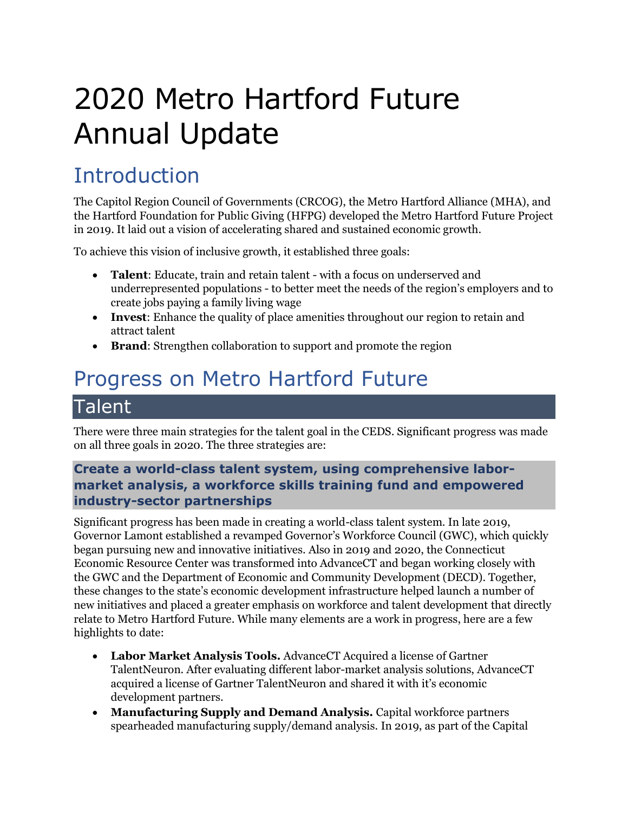# 2020 Metro Hartford Future Annual Update

## Introduction

The Capitol Region Council of Governments (CRCOG), the Metro Hartford Alliance (MHA), and the Hartford Foundation for Public Giving (HFPG) developed the Metro Hartford Future Project in 2019. It laid out a vision of accelerating shared and sustained economic growth.

To achieve this vision of inclusive growth, it established three goals:

- **Talent**: Educate, train and retain talent with a focus on underserved and underrepresented populations - to better meet the needs of the region's employers and to create jobs paying a family living wage
- **Invest**: Enhance the quality of place amenities throughout our region to retain and attract talent
- **Brand:** Strengthen collaboration to support and promote the region

# Progress on Metro Hartford Future

### **Talent**

There were three main strategies for the talent goal in the CEDS. Significant progress was made on all three goals in 2020. The three strategies are:

#### **Create a world-class talent system, using comprehensive labormarket analysis, a workforce skills training fund and empowered industry-sector partnerships**

Significant progress has been made in creating a world-class talent system. In late 2019, Governor Lamont established a revamped Governor's Workforce Council (GWC), which quickly began pursuing new and innovative initiatives. Also in 2019 and 2020, the Connecticut Economic Resource Center was transformed into AdvanceCT and began working closely with the GWC and the Department of Economic and Community Development (DECD). Together, these changes to the state's economic development infrastructure helped launch a number of new initiatives and placed a greater emphasis on workforce and talent development that directly relate to Metro Hartford Future. While many elements are a work in progress, here are a few highlights to date:

- **Labor Market Analysis Tools.** AdvanceCT Acquired a license of Gartner TalentNeuron. After evaluating different labor-market analysis solutions, AdvanceCT acquired a license of Gartner TalentNeuron and shared it with it's economic development partners.
- **Manufacturing Supply and Demand Analysis.** Capital workforce partners spearheaded manufacturing supply/demand analysis. In 2019, as part of the Capital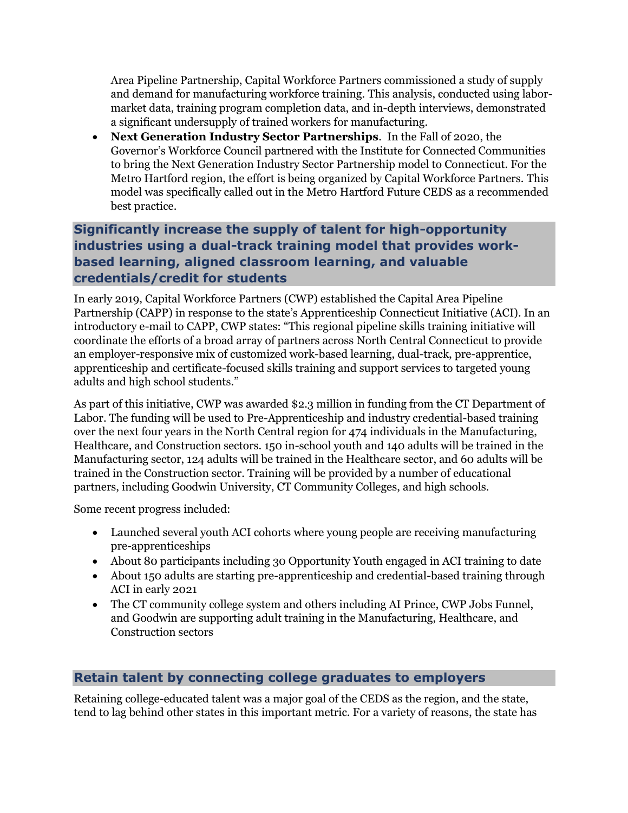Area Pipeline Partnership, Capital Workforce Partners commissioned a study of supply and demand for manufacturing workforce training. This analysis, conducted using labormarket data, training program completion data, and in-depth interviews, demonstrated a significant undersupply of trained workers for manufacturing.

• **Next Generation Industry Sector Partnerships**. In the Fall of 2020, the Governor's Workforce Council partnered with the Institute for Connected Communities to bring the Next Generation Industry Sector Partnership model to Connecticut. For the Metro Hartford region, the effort is being organized by Capital Workforce Partners. This model was specifically called out in the Metro Hartford Future CEDS as a recommended best practice.

#### **Significantly increase the supply of talent for high-opportunity industries using a dual-track training model that provides workbased learning, aligned classroom learning, and valuable credentials/credit for students**

In early 2019, Capital Workforce Partners (CWP) established the Capital Area Pipeline Partnership (CAPP) in response to the state's Apprenticeship Connecticut Initiative (ACI). In an introductory e-mail to CAPP, CWP states: "This regional pipeline skills training initiative will coordinate the efforts of a broad array of partners across North Central Connecticut to provide an employer-responsive mix of customized work-based learning, dual-track, pre-apprentice, apprenticeship and certificate-focused skills training and support services to targeted young adults and high school students."

As part of this initiative, CWP was awarded \$2.3 million in funding from the CT Department of Labor. The funding will be used to Pre-Apprenticeship and industry credential-based training over the next four years in the North Central region for 474 individuals in the Manufacturing, Healthcare, and Construction sectors. 150 in-school youth and 140 adults will be trained in the Manufacturing sector, 124 adults will be trained in the Healthcare sector, and 60 adults will be trained in the Construction sector. Training will be provided by a number of educational partners, including Goodwin University, CT Community Colleges, and high schools.

Some recent progress included:

- Launched several youth ACI cohorts where young people are receiving manufacturing pre-apprenticeships
- About 80 participants including 30 Opportunity Youth engaged in ACI training to date
- About 150 adults are starting pre-apprenticeship and credential-based training through ACI in early 2021
- The CT community college system and others including AI Prince, CWP Jobs Funnel, and Goodwin are supporting adult training in the Manufacturing, Healthcare, and Construction sectors

#### **Retain talent by connecting college graduates to employers**

Retaining college-educated talent was a major goal of the CEDS as the region, and the state, tend to lag behind other states in this important metric. For a variety of reasons, the state has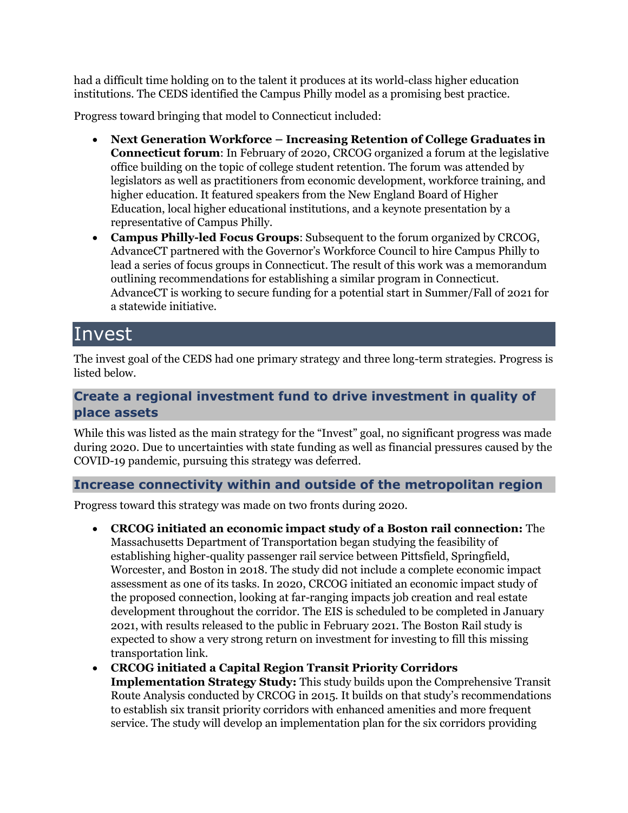had a difficult time holding on to the talent it produces at its world-class higher education institutions. The CEDS identified the Campus Philly model as a promising best practice.

Progress toward bringing that model to Connecticut included:

- **Next Generation Workforce – Increasing Retention of College Graduates in Connecticut forum**: In February of 2020, CRCOG organized a forum at the legislative office building on the topic of college student retention. The forum was attended by legislators as well as practitioners from economic development, workforce training, and higher education. It featured speakers from the New England Board of Higher Education, local higher educational institutions, and a keynote presentation by a representative of Campus Philly.
- **Campus Philly-led Focus Groups**: Subsequent to the forum organized by CRCOG, AdvanceCT partnered with the Governor's Workforce Council to hire Campus Philly to lead a series of focus groups in Connecticut. The result of this work was a memorandum outlining recommendations for establishing a similar program in Connecticut. AdvanceCT is working to secure funding for a potential start in Summer/Fall of 2021 for a statewide initiative.

### Invest

The invest goal of the CEDS had one primary strategy and three long-term strategies. Progress is listed below.

#### **Create a regional investment fund to drive investment in quality of place assets**

While this was listed as the main strategy for the "Invest" goal, no significant progress was made during 2020. Due to uncertainties with state funding as well as financial pressures caused by the COVID-19 pandemic, pursuing this strategy was deferred.

#### **Increase connectivity within and outside of the metropolitan region**

Progress toward this strategy was made on two fronts during 2020.

- **CRCOG initiated an economic impact study of a Boston rail connection:** The Massachusetts Department of Transportation began studying the feasibility of establishing higher-quality passenger rail service between Pittsfield, Springfield, Worcester, and Boston in 2018. The study did not include a complete economic impact assessment as one of its tasks. In 2020, CRCOG initiated an economic impact study of the proposed connection, looking at far-ranging impacts job creation and real estate development throughout the corridor. The EIS is scheduled to be completed in January 2021, with results released to the public in February 2021. The Boston Rail study is expected to show a very strong return on investment for investing to fill this missing transportation link.
- **CRCOG initiated a Capital Region Transit Priority Corridors Implementation Strategy Study:** This study builds upon the Comprehensive Transit Route Analysis conducted by CRCOG in 2015. It builds on that study's recommendations to establish six transit priority corridors with enhanced amenities and more frequent service. The study will develop an implementation plan for the six corridors providing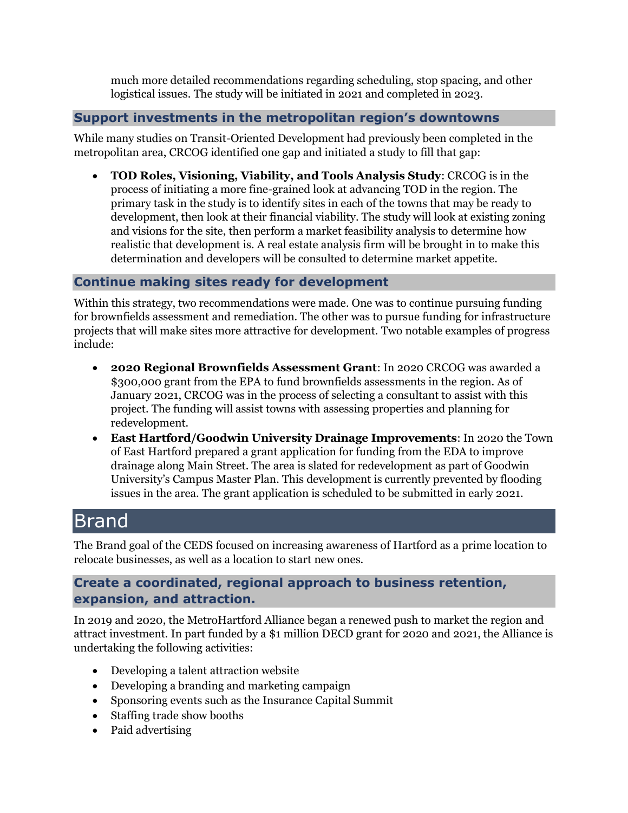much more detailed recommendations regarding scheduling, stop spacing, and other logistical issues. The study will be initiated in 2021 and completed in 2023.

#### **Support investments in the metropolitan region's downtowns**

While many studies on Transit-Oriented Development had previously been completed in the metropolitan area, CRCOG identified one gap and initiated a study to fill that gap:

• **TOD Roles, Visioning, Viability, and Tools Analysis Study**: CRCOG is in the process of initiating a more fine-grained look at advancing TOD in the region. The primary task in the study is to identify sites in each of the towns that may be ready to development, then look at their financial viability. The study will look at existing zoning and visions for the site, then perform a market feasibility analysis to determine how realistic that development is. A real estate analysis firm will be brought in to make this determination and developers will be consulted to determine market appetite.

#### **Continue making sites ready for development**

Within this strategy, two recommendations were made. One was to continue pursuing funding for brownfields assessment and remediation. The other was to pursue funding for infrastructure projects that will make sites more attractive for development. Two notable examples of progress include:

- **2020 Regional Brownfields Assessment Grant**: In 2020 CRCOG was awarded a \$300,000 grant from the EPA to fund brownfields assessments in the region. As of January 2021, CRCOG was in the process of selecting a consultant to assist with this project. The funding will assist towns with assessing properties and planning for redevelopment.
- **East Hartford/Goodwin University Drainage Improvements**: In 2020 the Town of East Hartford prepared a grant application for funding from the EDA to improve drainage along Main Street. The area is slated for redevelopment as part of Goodwin University's Campus Master Plan. This development is currently prevented by flooding issues in the area. The grant application is scheduled to be submitted in early 2021.

## Brand

The Brand goal of the CEDS focused on increasing awareness of Hartford as a prime location to relocate businesses, as well as a location to start new ones.

#### **Create a coordinated, regional approach to business retention, expansion, and attraction.**

In 2019 and 2020, the MetroHartford Alliance began a renewed push to market the region and attract investment. In part funded by a \$1 million DECD grant for 2020 and 2021, the Alliance is undertaking the following activities:

- Developing a talent attraction website
- Developing a branding and marketing campaign
- Sponsoring events such as the Insurance Capital Summit
- Staffing trade show booths
- Paid advertising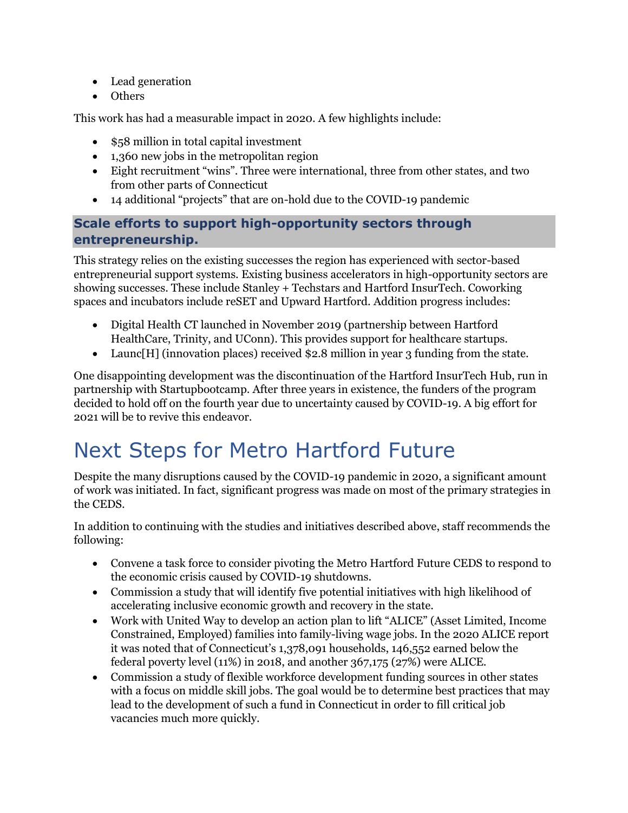- Lead generation
- Others

This work has had a measurable impact in 2020. A few highlights include:

- \$58 million in total capital investment
- 1,360 new jobs in the metropolitan region
- Eight recruitment "wins". Three were international, three from other states, and two from other parts of Connecticut
- 14 additional "projects" that are on-hold due to the COVID-19 pandemic

#### **Scale efforts to support high-opportunity sectors through entrepreneurship.**

This strategy relies on the existing successes the region has experienced with sector-based entrepreneurial support systems. Existing business accelerators in high-opportunity sectors are showing successes. These include Stanley + Techstars and Hartford InsurTech. Coworking spaces and incubators include reSET and Upward Hartford. Addition progress includes:

- Digital Health CT launched in November 2019 (partnership between Hartford HealthCare, Trinity, and UConn). This provides support for healthcare startups.
- Launc[H] (innovation places) received \$2.8 million in year 3 funding from the state.

One disappointing development was the discontinuation of the Hartford InsurTech Hub, run in partnership with Startupbootcamp. After three years in existence, the funders of the program decided to hold off on the fourth year due to uncertainty caused by COVID-19. A big effort for 2021 will be to revive this endeavor.

# Next Steps for Metro Hartford Future

Despite the many disruptions caused by the COVID-19 pandemic in 2020, a significant amount of work was initiated. In fact, significant progress was made on most of the primary strategies in the CEDS.

In addition to continuing with the studies and initiatives described above, staff recommends the following:

- Convene a task force to consider pivoting the Metro Hartford Future CEDS to respond to the economic crisis caused by COVID-19 shutdowns.
- Commission a study that will identify five potential initiatives with high likelihood of accelerating inclusive economic growth and recovery in the state.
- Work with United Way to develop an action plan to lift "ALICE" (Asset Limited, Income Constrained, Employed) families into family-living wage jobs. In the 2020 ALICE report it was noted that of Connecticut's 1,378,091 households, 146,552 earned below the federal poverty level (11%) in 2018, and another 367,175 (27%) were ALICE.
- Commission a study of flexible workforce development funding sources in other states with a focus on middle skill jobs. The goal would be to determine best practices that may lead to the development of such a fund in Connecticut in order to fill critical job vacancies much more quickly.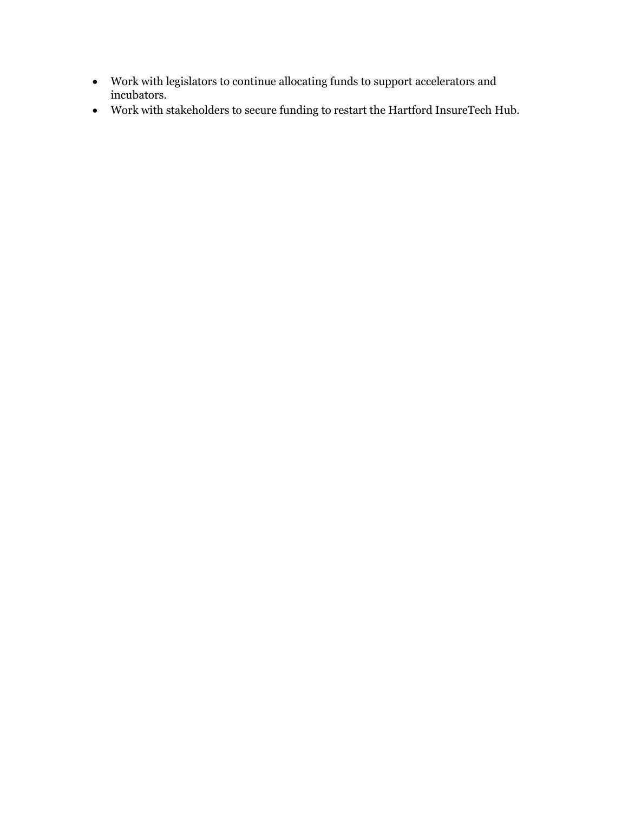- Work with legislators to continue allocating funds to support accelerators and incubators.
- Work with stakeholders to secure funding to restart the Hartford InsureTech Hub.